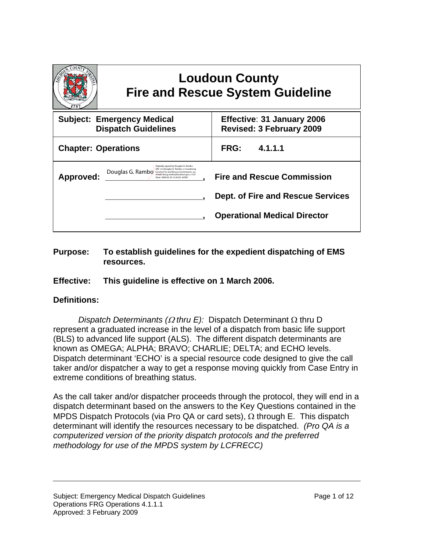|                                                                                                                                  | <b>Fire and Rescue System Guideline</b>                                                                                                                                                                          | <b>Loudoun County</b> |                                                                                                                      |
|----------------------------------------------------------------------------------------------------------------------------------|------------------------------------------------------------------------------------------------------------------------------------------------------------------------------------------------------------------|-----------------------|----------------------------------------------------------------------------------------------------------------------|
| <b>Subject: Emergency Medical</b><br>Effective: 31 January 2006<br><b>Dispatch Guidelines</b><br><b>Revised: 3 February 2009</b> |                                                                                                                                                                                                                  |                       |                                                                                                                      |
| <b>Chapter: Operations</b>                                                                                                       |                                                                                                                                                                                                                  | <b>FRG:</b>           | 4.1.1.1                                                                                                              |
| Approved:                                                                                                                        | Digitally signed by Douglas G. Rambo<br>DN: cn=Douglas G. Rambo, o=Loudoung<br>Douglas G. Rambo County Fire and Rescue Commission, ou,<br>email=doug.rambo@loudoun.gov.c=US<br>Date: 2009.03.29 12:42:02 -04'00" |                       | <b>Fire and Rescue Commission</b><br><b>Dept. of Fire and Rescue Services</b><br><b>Operational Medical Director</b> |

## **Purpose: To establish guidelines for the expedient dispatching of EMS resources.**

## **Effective: This guideline is effective on 1 March 2006.**

## **Definitions:**

*Dispatch Determinants (*Ω *thru E):* Dispatch Determinant Ω thru D represent a graduated increase in the level of a dispatch from basic life support (BLS) to advanced life support (ALS). The different dispatch determinants are known as OMEGA; ALPHA; BRAVO; CHARLIE; DELTA; and ECHO levels. Dispatch determinant 'ECHO' is a special resource code designed to give the call taker and/or dispatcher a way to get a response moving quickly from Case Entry in extreme conditions of breathing status.

As the call taker and/or dispatcher proceeds through the protocol, they will end in a dispatch determinant based on the answers to the Key Questions contained in the MPDS Dispatch Protocols (via Pro QA or card sets), Ω through E. This dispatch determinant will identify the resources necessary to be dispatched. *(Pro QA is a computerized version of the priority dispatch protocols and the preferred methodology for use of the MPDS system by LCFRECC)*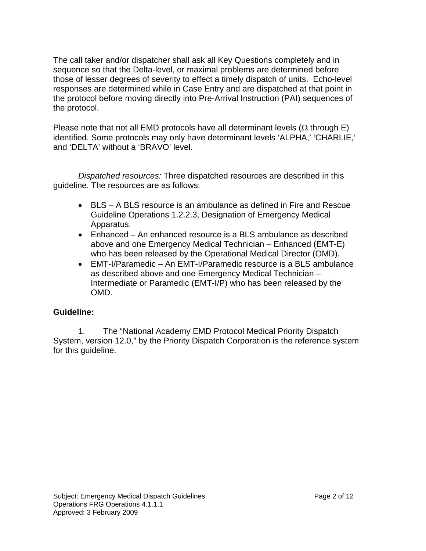The call taker and/or dispatcher shall ask all Key Questions completely and in sequence so that the Delta-level, or maximal problems are determined before those of lesser degrees of severity to effect a timely dispatch of units. Echo-level responses are determined while in Case Entry and are dispatched at that point in the protocol before moving directly into Pre-Arrival Instruction (PAI) sequences of the protocol.

Please note that not all EMD protocols have all determinant levels ( $\Omega$  through E) identified. Some protocols may only have determinant levels 'ALPHA,' 'CHARLIE,' and 'DELTA' without a 'BRAVO' level.

*Dispatched resources:* Three dispatched resources are described in this guideline. The resources are as follows:

- BLS A BLS resource is an ambulance as defined in Fire and Rescue Guideline Operations 1.2.2.3, Designation of Emergency Medical Apparatus.
- Enhanced An enhanced resource is a BLS ambulance as described above and one Emergency Medical Technician – Enhanced (EMT-E) who has been released by the Operational Medical Director (OMD).
- EMT-I/Paramedic An EMT-I/Paramedic resource is a BLS ambulance as described above and one Emergency Medical Technician – Intermediate or Paramedic (EMT-I/P) who has been released by the OMD.

## **Guideline:**

 1. The "National Academy EMD Protocol Medical Priority Dispatch System, version 12.0," by the Priority Dispatch Corporation is the reference system for this guideline.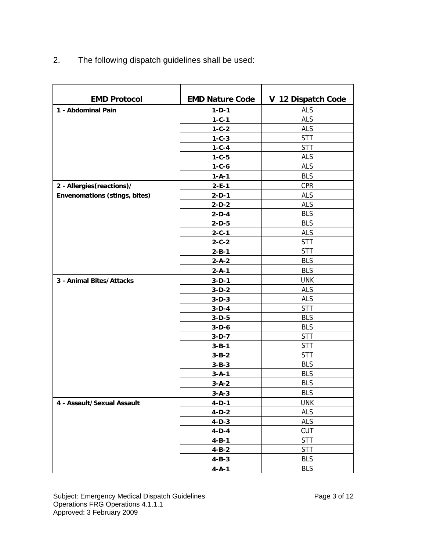2. The following dispatch guidelines shall be used:

| <b>EMD Protocol</b>                  | <b>EMD Nature Code</b>     | V 12 Dispatch Code |
|--------------------------------------|----------------------------|--------------------|
|                                      |                            | <b>ALS</b>         |
| 1 - Abdominal Pain                   | $1 - D - 1$<br>$1 - C - 1$ | <b>ALS</b>         |
|                                      | $1 - C - 2$                | <b>ALS</b>         |
|                                      | $1 - C - 3$                | <b>STT</b>         |
|                                      | $1 - C - 4$                | <b>STT</b>         |
|                                      | $1 - C - 5$                | <b>ALS</b>         |
|                                      | $1 - C - 6$                | <b>ALS</b>         |
|                                      | $1 - A - 1$                | <b>BLS</b>         |
| 2 - Allergies (reactions)/           | $2 - E - 1$                | CPR                |
| <b>Envenomations (stings, bites)</b> | $2-D-1$                    | <b>ALS</b>         |
|                                      | $2-D-2$                    | <b>ALS</b>         |
|                                      | $2-D-4$                    | <b>BLS</b>         |
|                                      | $2-D-5$                    | <b>BLS</b>         |
|                                      | $2 - C - 1$                | <b>ALS</b>         |
|                                      | $2 - C - 2$                | <b>STT</b>         |
|                                      | $2 - B - 1$                | <b>STT</b>         |
|                                      | $2 - A - 2$                | <b>BLS</b>         |
|                                      | $2 - A - 1$                | <b>BLS</b>         |
| 3 - Animal Bites/Attacks             | $3-D-1$                    | <b>UNK</b>         |
|                                      | $3-D-2$                    | <b>ALS</b>         |
|                                      | $3-D-3$                    | <b>ALS</b>         |
|                                      | $3-D-4$                    | <b>STT</b>         |
|                                      | $3-D-5$                    | <b>BLS</b>         |
|                                      | $3-D-6$                    | <b>BLS</b>         |
|                                      | $3-D-7$                    | <b>STT</b>         |
|                                      | $3 - B - 1$                | <b>STT</b>         |
|                                      | $3 - B - 2$                | <b>STT</b>         |
|                                      | $3 - B - 3$                | <b>BLS</b>         |
|                                      | $3 - A - 1$                | <b>BLS</b>         |
|                                      | $3 - A - 2$                | <b>BLS</b>         |
|                                      | $3 - A - 3$                | <b>BLS</b>         |
| 4 - Assault/Sexual Assault           | $4-D-1$                    | <b>UNK</b>         |
|                                      | $4-D-2$                    | <b>ALS</b>         |
|                                      | $4-D-3$                    | <b>ALS</b>         |
|                                      | $4-D-4$                    | <b>CUT</b>         |
|                                      | $4 - B - 1$                | <b>STT</b>         |
|                                      | $4 - B - 2$                | <b>STT</b>         |
|                                      | $4 - B - 3$                | <b>BLS</b>         |
|                                      | $4 - A - 1$                | <b>BLS</b>         |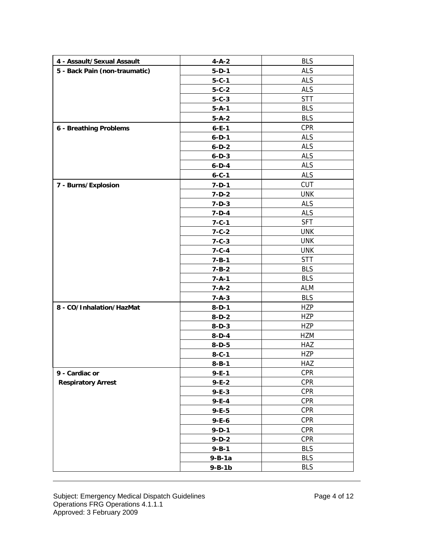| 4 - Assault/Sexual Assault    | $4 - A - 2$  | <b>BLS</b> |
|-------------------------------|--------------|------------|
| 5 - Back Pain (non-traumatic) | $5 - D - 1$  | <b>ALS</b> |
|                               | $5 - C - 1$  | <b>ALS</b> |
|                               | $5 - C - 2$  | <b>ALS</b> |
|                               | $5 - C - 3$  | <b>STT</b> |
|                               | $5 - A - 1$  | <b>BLS</b> |
|                               | $5 - A - 2$  | <b>BLS</b> |
| 6 - Breathing Problems        | $6 - E - 1$  | <b>CPR</b> |
|                               | $6 - D - 1$  | <b>ALS</b> |
|                               | $6 - D - 2$  | <b>ALS</b> |
|                               | $6 - D - 3$  | <b>ALS</b> |
|                               | $6 - D - 4$  | <b>ALS</b> |
|                               | $6 - C - 1$  | <b>ALS</b> |
| 7 - Burns/Explosion           | $7 - D - 1$  | <b>CUT</b> |
|                               | $7-D-2$      | <b>UNK</b> |
|                               | $7 - D - 3$  | <b>ALS</b> |
|                               | $7-D-4$      | <b>ALS</b> |
|                               | $7 - C - 1$  | <b>SFT</b> |
|                               | $7 - C - 2$  | <b>UNK</b> |
|                               | $7 - C - 3$  | <b>UNK</b> |
|                               | $7 - C - 4$  | <b>UNK</b> |
|                               | $7 - B - 1$  | <b>STT</b> |
|                               | $7 - B - 2$  | <b>BLS</b> |
|                               | $7 - A - 1$  | <b>BLS</b> |
|                               | $7 - A - 2$  | ALM        |
|                               | $7 - A - 3$  | <b>BLS</b> |
| 8 - CO/Inhalation/HazMat      | $8-D-1$      | <b>HZP</b> |
|                               | $8-D-2$      | <b>HZP</b> |
|                               | $8-D-3$      | <b>HZP</b> |
|                               | $8-D-4$      | HZM        |
|                               | $8-D-5$      | HAZ        |
|                               | $8 - C - 1$  | <b>HZP</b> |
|                               | $8 - B - 1$  | HAZ        |
| 9 - Cardiac or                | $9 - E - 1$  | <b>CPR</b> |
| <b>Respiratory Arrest</b>     | $9 - E - 2$  | <b>CPR</b> |
|                               | $9 - E - 3$  | <b>CPR</b> |
|                               | $9 - E - 4$  | <b>CPR</b> |
|                               | $9 - E - 5$  | <b>CPR</b> |
|                               | $9 - E - 6$  | <b>CPR</b> |
|                               | $9 - D - 1$  | <b>CPR</b> |
|                               | $9-D-2$      | <b>CPR</b> |
|                               | $9 - B - 1$  | <b>BLS</b> |
|                               | $9 - B - 1a$ | <b>BLS</b> |
|                               | $9 - B - 1b$ | <b>BLS</b> |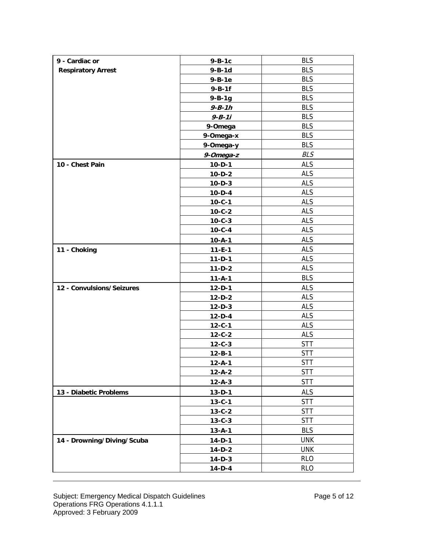| 9 - Cardiac or             | $9 - B - 1c$  | <b>BLS</b> |
|----------------------------|---------------|------------|
| <b>Respiratory Arrest</b>  | $9 - B - 1d$  | <b>BLS</b> |
|                            | $9 - B - 1e$  | <b>BLS</b> |
|                            | $9 - B - 1f$  | <b>BLS</b> |
|                            | $9 - B - 1g$  | <b>BLS</b> |
|                            | $9 - B - 1 h$ | <b>BLS</b> |
|                            | $9 - B - 11$  | <b>BLS</b> |
|                            | 9-Omega       | <b>BLS</b> |
|                            | 9-Omega-x     | <b>BLS</b> |
|                            | 9-Omega-y     | <b>BLS</b> |
|                            | 9-Omega-z     | <b>BLS</b> |
| 10 - Chest Pain            | $10 - D - 1$  | <b>ALS</b> |
|                            | $10 - D - 2$  | <b>ALS</b> |
|                            | $10 - D - 3$  | <b>ALS</b> |
|                            | $10 - D - 4$  | <b>ALS</b> |
|                            | $10 - C - 1$  | <b>ALS</b> |
|                            | $10 - C - 2$  | <b>ALS</b> |
|                            | $10 - C - 3$  | <b>ALS</b> |
|                            | $10 - C - 4$  | <b>ALS</b> |
|                            | $10 - A - 1$  | <b>ALS</b> |
| 11 - Choking               | $11 - E - 1$  | <b>ALS</b> |
|                            | $11 - D - 1$  | <b>ALS</b> |
|                            | $11-D-2$      | <b>ALS</b> |
|                            | $11 - A - 1$  | <b>BLS</b> |
| 12 - Convulsions/Seizures  | $12 - D - 1$  | <b>ALS</b> |
|                            | $12-D-2$      | <b>ALS</b> |
|                            | $12 - D - 3$  | <b>ALS</b> |
|                            | $12-D-4$      | <b>ALS</b> |
|                            | $12 - C - 1$  | <b>ALS</b> |
|                            | $12 - C - 2$  | <b>ALS</b> |
|                            | $12 - C - 3$  | <b>STT</b> |
|                            | $12 - B - 1$  | <b>STT</b> |
|                            | $12 - A - 1$  | <b>STT</b> |
|                            | $12 - A - 2$  | <b>STT</b> |
|                            | $12 - A - 3$  | <b>STT</b> |
| 13 - Diabetic Problems     | $13 - D - 1$  | ALS        |
|                            | $13 - C - 1$  | <b>STT</b> |
|                            | $13 - C - 2$  | <b>STT</b> |
|                            | $13 - C - 3$  | <b>STT</b> |
|                            | $13 - A - 1$  | <b>BLS</b> |
| 14 - Drowning/Diving/Scuba | $14-D-1$      | <b>UNK</b> |
|                            | $14-D-2$      | <b>UNK</b> |
|                            | $14-D-3$      | <b>RLO</b> |
|                            | $14-D-4$      | <b>RLO</b> |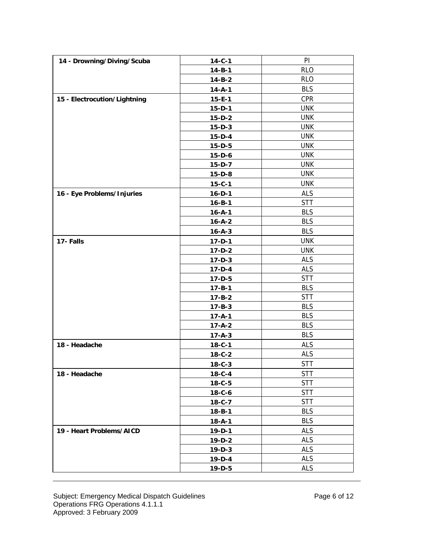| PI<br>14 - Drowning/Diving/Scuba<br>$14 - C - 1$<br><b>RLO</b><br>$14 - B - 1$<br><b>RLO</b><br>$14 - B - 2$<br><b>BLS</b><br>$14 - A - 1$<br><b>CPR</b><br>15 - Electrocution/Lightning<br>$15 - E - 1$<br><b>UNK</b><br>$15-D-1$<br><b>UNK</b><br>$15-D-2$<br><b>UNK</b><br>$15-D-3$<br><b>UNK</b><br>$15-D-4$<br><b>UNK</b><br>$15-D-5$<br><b>UNK</b><br>$15-D-6$<br><b>UNK</b><br>$15-D-7$<br><b>UNK</b><br>$15-D-8$<br><b>UNK</b><br>$15 - C - 1$<br><b>ALS</b><br>16 - Eye Problems/Injuries<br>$16 - D - 1$<br><b>STT</b><br>$16 - B - 1$<br><b>BLS</b><br>$16 - A - 1$<br><b>BLS</b><br>$16 - A - 2$<br><b>BLS</b><br>$16 - A - 3$<br><b>UNK</b><br>17-Falls<br>$17 - D - 1$<br><b>UNK</b><br>$17 - D - 2$<br><b>ALS</b><br>$17 - D - 3$<br><b>ALS</b><br>$17 - D - 4$<br><b>STT</b><br>$17 - D - 5$<br><b>BLS</b><br>$17 - B - 1$<br><b>STT</b><br>$17 - B - 2$<br><b>BLS</b><br>$17 - B - 3$<br><b>BLS</b><br>$17 - A - 1$<br><b>BLS</b><br>$17 - A - 2$<br><b>BLS</b><br>$17 - A - 3$<br><b>ALS</b><br>$18 - C - 1$<br>18 - Headache<br><b>ALS</b><br>$18 - C - 2$<br><b>STT</b><br>$18 - C - 3$<br><b>STT</b><br>18 - Headache<br>$18 - C - 4$<br><b>STT</b><br>$18 - C - 5$<br><b>STT</b><br>$18 - C - 6$<br><b>STT</b><br>$18 - C - 7$<br><b>BLS</b><br>$18 - B - 1$<br><b>BLS</b><br>$18 - A - 1$<br><b>ALS</b><br>19 - Heart Problems/AICD<br>$19 - D - 1$<br><b>ALS</b><br>$19-D-2$<br><b>ALS</b><br>$19 - D - 3$<br><b>ALS</b><br>$19 - D - 4$<br><b>ALS</b><br>$19 - D - 5$ |  |  |
|------------------------------------------------------------------------------------------------------------------------------------------------------------------------------------------------------------------------------------------------------------------------------------------------------------------------------------------------------------------------------------------------------------------------------------------------------------------------------------------------------------------------------------------------------------------------------------------------------------------------------------------------------------------------------------------------------------------------------------------------------------------------------------------------------------------------------------------------------------------------------------------------------------------------------------------------------------------------------------------------------------------------------------------------------------------------------------------------------------------------------------------------------------------------------------------------------------------------------------------------------------------------------------------------------------------------------------------------------------------------------------------------------------------------------------------------------------------------------------------------|--|--|
|                                                                                                                                                                                                                                                                                                                                                                                                                                                                                                                                                                                                                                                                                                                                                                                                                                                                                                                                                                                                                                                                                                                                                                                                                                                                                                                                                                                                                                                                                                |  |  |
|                                                                                                                                                                                                                                                                                                                                                                                                                                                                                                                                                                                                                                                                                                                                                                                                                                                                                                                                                                                                                                                                                                                                                                                                                                                                                                                                                                                                                                                                                                |  |  |
|                                                                                                                                                                                                                                                                                                                                                                                                                                                                                                                                                                                                                                                                                                                                                                                                                                                                                                                                                                                                                                                                                                                                                                                                                                                                                                                                                                                                                                                                                                |  |  |
|                                                                                                                                                                                                                                                                                                                                                                                                                                                                                                                                                                                                                                                                                                                                                                                                                                                                                                                                                                                                                                                                                                                                                                                                                                                                                                                                                                                                                                                                                                |  |  |
|                                                                                                                                                                                                                                                                                                                                                                                                                                                                                                                                                                                                                                                                                                                                                                                                                                                                                                                                                                                                                                                                                                                                                                                                                                                                                                                                                                                                                                                                                                |  |  |
|                                                                                                                                                                                                                                                                                                                                                                                                                                                                                                                                                                                                                                                                                                                                                                                                                                                                                                                                                                                                                                                                                                                                                                                                                                                                                                                                                                                                                                                                                                |  |  |
|                                                                                                                                                                                                                                                                                                                                                                                                                                                                                                                                                                                                                                                                                                                                                                                                                                                                                                                                                                                                                                                                                                                                                                                                                                                                                                                                                                                                                                                                                                |  |  |
|                                                                                                                                                                                                                                                                                                                                                                                                                                                                                                                                                                                                                                                                                                                                                                                                                                                                                                                                                                                                                                                                                                                                                                                                                                                                                                                                                                                                                                                                                                |  |  |
|                                                                                                                                                                                                                                                                                                                                                                                                                                                                                                                                                                                                                                                                                                                                                                                                                                                                                                                                                                                                                                                                                                                                                                                                                                                                                                                                                                                                                                                                                                |  |  |
|                                                                                                                                                                                                                                                                                                                                                                                                                                                                                                                                                                                                                                                                                                                                                                                                                                                                                                                                                                                                                                                                                                                                                                                                                                                                                                                                                                                                                                                                                                |  |  |
|                                                                                                                                                                                                                                                                                                                                                                                                                                                                                                                                                                                                                                                                                                                                                                                                                                                                                                                                                                                                                                                                                                                                                                                                                                                                                                                                                                                                                                                                                                |  |  |
|                                                                                                                                                                                                                                                                                                                                                                                                                                                                                                                                                                                                                                                                                                                                                                                                                                                                                                                                                                                                                                                                                                                                                                                                                                                                                                                                                                                                                                                                                                |  |  |
|                                                                                                                                                                                                                                                                                                                                                                                                                                                                                                                                                                                                                                                                                                                                                                                                                                                                                                                                                                                                                                                                                                                                                                                                                                                                                                                                                                                                                                                                                                |  |  |
|                                                                                                                                                                                                                                                                                                                                                                                                                                                                                                                                                                                                                                                                                                                                                                                                                                                                                                                                                                                                                                                                                                                                                                                                                                                                                                                                                                                                                                                                                                |  |  |
|                                                                                                                                                                                                                                                                                                                                                                                                                                                                                                                                                                                                                                                                                                                                                                                                                                                                                                                                                                                                                                                                                                                                                                                                                                                                                                                                                                                                                                                                                                |  |  |
|                                                                                                                                                                                                                                                                                                                                                                                                                                                                                                                                                                                                                                                                                                                                                                                                                                                                                                                                                                                                                                                                                                                                                                                                                                                                                                                                                                                                                                                                                                |  |  |
|                                                                                                                                                                                                                                                                                                                                                                                                                                                                                                                                                                                                                                                                                                                                                                                                                                                                                                                                                                                                                                                                                                                                                                                                                                                                                                                                                                                                                                                                                                |  |  |
|                                                                                                                                                                                                                                                                                                                                                                                                                                                                                                                                                                                                                                                                                                                                                                                                                                                                                                                                                                                                                                                                                                                                                                                                                                                                                                                                                                                                                                                                                                |  |  |
|                                                                                                                                                                                                                                                                                                                                                                                                                                                                                                                                                                                                                                                                                                                                                                                                                                                                                                                                                                                                                                                                                                                                                                                                                                                                                                                                                                                                                                                                                                |  |  |
|                                                                                                                                                                                                                                                                                                                                                                                                                                                                                                                                                                                                                                                                                                                                                                                                                                                                                                                                                                                                                                                                                                                                                                                                                                                                                                                                                                                                                                                                                                |  |  |
|                                                                                                                                                                                                                                                                                                                                                                                                                                                                                                                                                                                                                                                                                                                                                                                                                                                                                                                                                                                                                                                                                                                                                                                                                                                                                                                                                                                                                                                                                                |  |  |
|                                                                                                                                                                                                                                                                                                                                                                                                                                                                                                                                                                                                                                                                                                                                                                                                                                                                                                                                                                                                                                                                                                                                                                                                                                                                                                                                                                                                                                                                                                |  |  |
|                                                                                                                                                                                                                                                                                                                                                                                                                                                                                                                                                                                                                                                                                                                                                                                                                                                                                                                                                                                                                                                                                                                                                                                                                                                                                                                                                                                                                                                                                                |  |  |
|                                                                                                                                                                                                                                                                                                                                                                                                                                                                                                                                                                                                                                                                                                                                                                                                                                                                                                                                                                                                                                                                                                                                                                                                                                                                                                                                                                                                                                                                                                |  |  |
|                                                                                                                                                                                                                                                                                                                                                                                                                                                                                                                                                                                                                                                                                                                                                                                                                                                                                                                                                                                                                                                                                                                                                                                                                                                                                                                                                                                                                                                                                                |  |  |
|                                                                                                                                                                                                                                                                                                                                                                                                                                                                                                                                                                                                                                                                                                                                                                                                                                                                                                                                                                                                                                                                                                                                                                                                                                                                                                                                                                                                                                                                                                |  |  |
|                                                                                                                                                                                                                                                                                                                                                                                                                                                                                                                                                                                                                                                                                                                                                                                                                                                                                                                                                                                                                                                                                                                                                                                                                                                                                                                                                                                                                                                                                                |  |  |
|                                                                                                                                                                                                                                                                                                                                                                                                                                                                                                                                                                                                                                                                                                                                                                                                                                                                                                                                                                                                                                                                                                                                                                                                                                                                                                                                                                                                                                                                                                |  |  |
|                                                                                                                                                                                                                                                                                                                                                                                                                                                                                                                                                                                                                                                                                                                                                                                                                                                                                                                                                                                                                                                                                                                                                                                                                                                                                                                                                                                                                                                                                                |  |  |
|                                                                                                                                                                                                                                                                                                                                                                                                                                                                                                                                                                                                                                                                                                                                                                                                                                                                                                                                                                                                                                                                                                                                                                                                                                                                                                                                                                                                                                                                                                |  |  |
|                                                                                                                                                                                                                                                                                                                                                                                                                                                                                                                                                                                                                                                                                                                                                                                                                                                                                                                                                                                                                                                                                                                                                                                                                                                                                                                                                                                                                                                                                                |  |  |
|                                                                                                                                                                                                                                                                                                                                                                                                                                                                                                                                                                                                                                                                                                                                                                                                                                                                                                                                                                                                                                                                                                                                                                                                                                                                                                                                                                                                                                                                                                |  |  |
|                                                                                                                                                                                                                                                                                                                                                                                                                                                                                                                                                                                                                                                                                                                                                                                                                                                                                                                                                                                                                                                                                                                                                                                                                                                                                                                                                                                                                                                                                                |  |  |
|                                                                                                                                                                                                                                                                                                                                                                                                                                                                                                                                                                                                                                                                                                                                                                                                                                                                                                                                                                                                                                                                                                                                                                                                                                                                                                                                                                                                                                                                                                |  |  |
|                                                                                                                                                                                                                                                                                                                                                                                                                                                                                                                                                                                                                                                                                                                                                                                                                                                                                                                                                                                                                                                                                                                                                                                                                                                                                                                                                                                                                                                                                                |  |  |
|                                                                                                                                                                                                                                                                                                                                                                                                                                                                                                                                                                                                                                                                                                                                                                                                                                                                                                                                                                                                                                                                                                                                                                                                                                                                                                                                                                                                                                                                                                |  |  |
|                                                                                                                                                                                                                                                                                                                                                                                                                                                                                                                                                                                                                                                                                                                                                                                                                                                                                                                                                                                                                                                                                                                                                                                                                                                                                                                                                                                                                                                                                                |  |  |
|                                                                                                                                                                                                                                                                                                                                                                                                                                                                                                                                                                                                                                                                                                                                                                                                                                                                                                                                                                                                                                                                                                                                                                                                                                                                                                                                                                                                                                                                                                |  |  |
|                                                                                                                                                                                                                                                                                                                                                                                                                                                                                                                                                                                                                                                                                                                                                                                                                                                                                                                                                                                                                                                                                                                                                                                                                                                                                                                                                                                                                                                                                                |  |  |
|                                                                                                                                                                                                                                                                                                                                                                                                                                                                                                                                                                                                                                                                                                                                                                                                                                                                                                                                                                                                                                                                                                                                                                                                                                                                                                                                                                                                                                                                                                |  |  |
|                                                                                                                                                                                                                                                                                                                                                                                                                                                                                                                                                                                                                                                                                                                                                                                                                                                                                                                                                                                                                                                                                                                                                                                                                                                                                                                                                                                                                                                                                                |  |  |
|                                                                                                                                                                                                                                                                                                                                                                                                                                                                                                                                                                                                                                                                                                                                                                                                                                                                                                                                                                                                                                                                                                                                                                                                                                                                                                                                                                                                                                                                                                |  |  |
|                                                                                                                                                                                                                                                                                                                                                                                                                                                                                                                                                                                                                                                                                                                                                                                                                                                                                                                                                                                                                                                                                                                                                                                                                                                                                                                                                                                                                                                                                                |  |  |
|                                                                                                                                                                                                                                                                                                                                                                                                                                                                                                                                                                                                                                                                                                                                                                                                                                                                                                                                                                                                                                                                                                                                                                                                                                                                                                                                                                                                                                                                                                |  |  |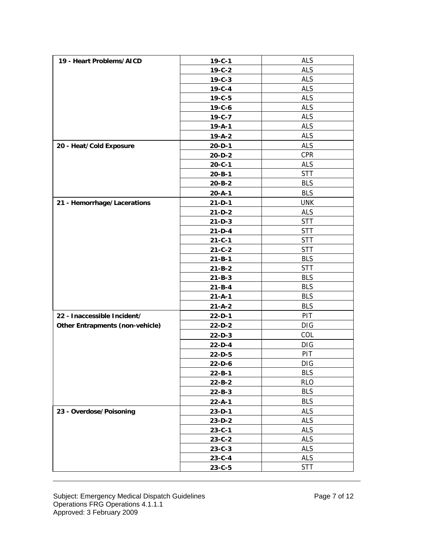| 19 - Heart Problems/AICD               | $19 - C - 1$ | <b>ALS</b> |
|----------------------------------------|--------------|------------|
|                                        | $19 - C - 2$ | <b>ALS</b> |
|                                        | $19 - C - 3$ | <b>ALS</b> |
|                                        | $19 - C - 4$ | <b>ALS</b> |
|                                        | $19 - C - 5$ | <b>ALS</b> |
|                                        | $19 - C - 6$ | <b>ALS</b> |
|                                        | $19 - C - 7$ | <b>ALS</b> |
|                                        | $19 - A - 1$ | <b>ALS</b> |
|                                        | $19 - A - 2$ | <b>ALS</b> |
| 20 - Heat/Cold Exposure                | $20 - D - 1$ | <b>ALS</b> |
|                                        | $20 - D - 2$ | <b>CPR</b> |
|                                        | $20 - C - 1$ | <b>ALS</b> |
|                                        | $20 - B - 1$ | <b>STT</b> |
|                                        | $20 - B - 2$ | <b>BLS</b> |
|                                        | $20 - A - 1$ | <b>BLS</b> |
| 21 - Hemorrhage/Lacerations            | $21 - D - 1$ | <b>UNK</b> |
|                                        | $21-D-2$     | <b>ALS</b> |
|                                        | $21 - D - 3$ | <b>STT</b> |
|                                        | $21-D-4$     | <b>STT</b> |
|                                        | $21 - C - 1$ | <b>STT</b> |
|                                        | $21 - C - 2$ | <b>STT</b> |
|                                        | $21 - B - 1$ | <b>BLS</b> |
|                                        | $21 - B - 2$ | <b>STT</b> |
|                                        | $21 - B - 3$ | <b>BLS</b> |
|                                        | $21 - B - 4$ | <b>BLS</b> |
|                                        | $21 - A - 1$ | <b>BLS</b> |
|                                        | $21 - A - 2$ | <b>BLS</b> |
| 22 - Inaccessible Incident/            | $22 - D - 1$ | PIT        |
| <b>Other Entrapments (non-vehicle)</b> | $22-D-2$     | DIG        |
|                                        | $22-D-3$     | COL        |
|                                        | $22-D-4$     | <b>DIG</b> |
|                                        | 22-D-5       | PIT        |
|                                        | $22-D-6$     | DIG        |
|                                        | $22 - B - 1$ | <b>BLS</b> |
|                                        | $22 - B - 2$ | <b>RLO</b> |
|                                        | $22 - B - 3$ | <b>BLS</b> |
|                                        | $22 - A - 1$ | <b>BLS</b> |
| 23 - Overdose/Poisoning                | $23-D-1$     | <b>ALS</b> |
|                                        | $23-D-2$     | <b>ALS</b> |
|                                        | $23 - C - 1$ | <b>ALS</b> |
|                                        | $23 - C - 2$ | <b>ALS</b> |
|                                        | $23 - C - 3$ | <b>ALS</b> |
|                                        | $23 - C - 4$ | ALS        |
|                                        | $23 - C - 5$ | <b>STT</b> |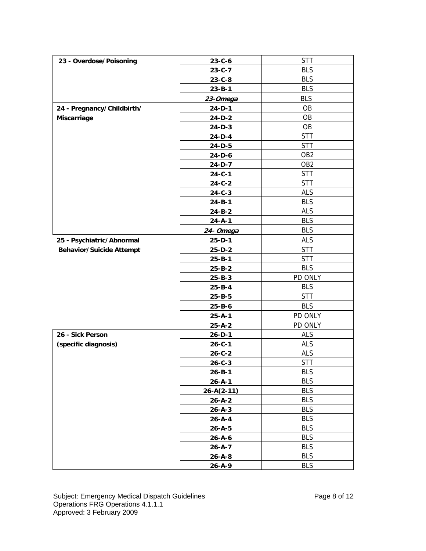| 23 - Overdose/Poisoning         | $23 - C - 6$     | <b>STT</b>      |
|---------------------------------|------------------|-----------------|
|                                 | $23 - C - 7$     | <b>BLS</b>      |
|                                 | $23 - C - 8$     | <b>BLS</b>      |
|                                 | $23 - B - 1$     | <b>BLS</b>      |
|                                 | 23-Omega         | <b>BLS</b>      |
| 24 - Pregnancy/Childbirth/      | $24-D-1$         | <b>OB</b>       |
| Miscarriage                     | 24-D-2           | OB              |
|                                 | $24-D-3$         | OB              |
|                                 | $24-D-4$         | <b>STT</b>      |
|                                 | $24-D-5$         | <b>STT</b>      |
|                                 | 24-D-6           | OB <sub>2</sub> |
|                                 | 24-D-7           | OB <sub>2</sub> |
|                                 | $24 - C - 1$     | <b>STT</b>      |
|                                 | $24 - C - 2$     | <b>STT</b>      |
|                                 | $24 - C - 3$     | <b>ALS</b>      |
|                                 | $24 - B - 1$     | <b>BLS</b>      |
|                                 | $24 - B - 2$     | <b>ALS</b>      |
|                                 | $24 - A - 1$     | <b>BLS</b>      |
|                                 | 24- Omega        | <b>BLS</b>      |
| 25 - Psychiatric/Abnormal       | $25 - D - 1$     | <b>ALS</b>      |
| <b>Behavior/Suicide Attempt</b> | $25-D-2$         | <b>STT</b>      |
|                                 | $25 - B - 1$     | <b>STT</b>      |
|                                 | $25 - B - 2$     | <b>BLS</b>      |
|                                 | $25 - B - 3$     | PD ONLY         |
|                                 | $25 - B - 4$     | <b>BLS</b>      |
|                                 | $25 - B - 5$     | <b>STT</b>      |
|                                 | $25 - B - 6$     | <b>BLS</b>      |
|                                 | $25 - A - 1$     | PD ONLY         |
|                                 | $25 - A - 2$     | PD ONLY         |
| 26 - Sick Person                | $26 - D - 1$     | <b>ALS</b>      |
| (specific diagnosis)            | $26 - C - 1$     | <b>ALS</b>      |
|                                 | $26 - C - 2$     | <b>ALS</b>      |
|                                 | $26 - C - 3$     | <b>STT</b>      |
|                                 | $26 - B - 1$     | <b>BLS</b>      |
|                                 | $26 - A - 1$     | <b>BLS</b>      |
|                                 | $26 - A(2 - 11)$ | <b>BLS</b>      |
|                                 | $26 - A - 2$     | <b>BLS</b>      |
|                                 | $26 - A - 3$     | <b>BLS</b>      |
|                                 | $26 - A - 4$     | <b>BLS</b>      |
|                                 | $26 - A - 5$     | <b>BLS</b>      |
|                                 | $26 - A - 6$     | <b>BLS</b>      |
|                                 | $26 - A - 7$     | <b>BLS</b>      |
|                                 | $26 - A - 8$     | <b>BLS</b>      |
|                                 | $26 - A - 9$     | <b>BLS</b>      |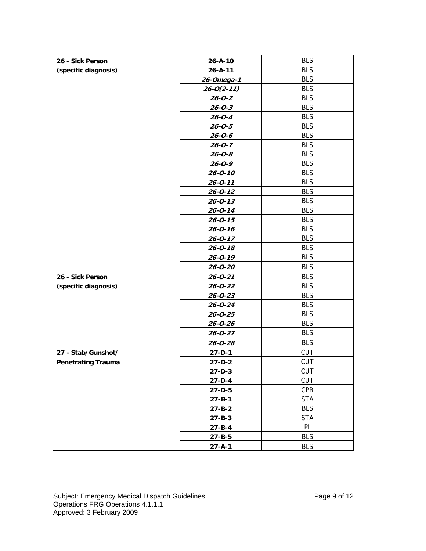| 26 - Sick Person          | $26 - A - 10$    | <b>BLS</b> |
|---------------------------|------------------|------------|
| (specific diagnosis)      | $26 - A - 11$    | <b>BLS</b> |
|                           | 26-Omega-1       | <b>BLS</b> |
|                           | $26 - 0(2 - 11)$ | <b>BLS</b> |
|                           | $26 - 0 - 2$     | <b>BLS</b> |
|                           | $26 - 0 - 3$     | <b>BLS</b> |
|                           | $26 - 0 - 4$     | <b>BLS</b> |
|                           | $26 - 0 - 5$     | <b>BLS</b> |
|                           | $26 - 0 - 6$     | <b>BLS</b> |
|                           | $26 - 0 - 7$     | <b>BLS</b> |
|                           | $26 - 0 - 8$     | <b>BLS</b> |
|                           | $26 - 0 - 9$     | <b>BLS</b> |
|                           | $26 - 0 - 10$    | <b>BLS</b> |
|                           | $26 - 0 - 11$    | <b>BLS</b> |
|                           | $26 - 0 - 12$    | <b>BLS</b> |
|                           | $26 - 0 - 13$    | <b>BLS</b> |
|                           | $26 - 0 - 14$    | <b>BLS</b> |
|                           | $26 - 0 - 15$    | <b>BLS</b> |
|                           | $26 - 0 - 16$    | <b>BLS</b> |
|                           | $26 - 0 - 17$    | <b>BLS</b> |
|                           | $26 - 0 - 18$    | <b>BLS</b> |
|                           | $26 - 0 - 19$    | <b>BLS</b> |
|                           | $26 - 0 - 20$    | <b>BLS</b> |
| 26 - Sick Person          | $26 - 0 - 21$    | <b>BLS</b> |
| (specific diagnosis)      | $26 - 0 - 22$    | <b>BLS</b> |
|                           | $26 - 0 - 23$    | <b>BLS</b> |
|                           | $26 - 0 - 24$    | <b>BLS</b> |
|                           | $26 - 0 - 25$    | <b>BLS</b> |
|                           | $26 - 0 - 26$    | <b>BLS</b> |
|                           | $26 - 0 - 27$    | <b>BLS</b> |
|                           | $26 - 0 - 28$    | <b>BLS</b> |
| 27 - Stab/Gunshot/        | $27 - D - 1$     | <b>CUT</b> |
| <b>Penetrating Trauma</b> | $27 - D - 2$     | <b>CUT</b> |
|                           | $27 - D - 3$     | <b>CUT</b> |
|                           | $27 - D - 4$     | <b>CUT</b> |
|                           | 27-D-5           | <b>CPR</b> |
|                           | $27 - B - 1$     | <b>STA</b> |
|                           | $27 - B - 2$     | <b>BLS</b> |
|                           | $27 - B - 3$     | <b>STA</b> |
|                           | $27 - B - 4$     | PI         |
|                           | $27 - B - 5$     | <b>BLS</b> |
|                           | $27 - A - 1$     | <b>BLS</b> |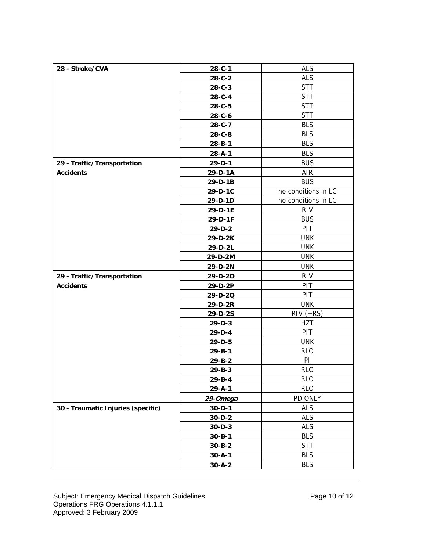| <b>ALS</b><br>28 - Stroke/CVA<br>$28 - C - 1$<br><b>ALS</b><br>$28 - C - 2$<br><b>STT</b><br>$28 - C - 3$<br><b>STT</b><br>28-C-4<br><b>STT</b><br>28-C-5<br><b>STT</b><br>$28 - C - 6$<br><b>BLS</b><br>28-C-7<br><b>BLS</b><br>$28 - C - 8$<br><b>BLS</b><br>$28 - B - 1$<br><b>BLS</b><br>$28 - A - 1$<br><b>BUS</b><br>29 - Traffic/Transportation<br>29-D-1<br><b>AIR</b><br><b>Accidents</b><br>29-D-1A<br><b>BUS</b><br>29-D-1B<br>no conditions in LC<br>29-D-1C<br>no conditions in LC<br>29-D-1D<br><b>RIV</b><br>29-D-1E<br><b>BUS</b><br>29-D-1F<br>PIT<br>29-D-2<br><b>UNK</b><br>29-D-2K<br><b>UNK</b><br>29-D-2L<br><b>UNK</b><br>29-D-2M<br><b>UNK</b><br>29-D-2N<br><b>RIV</b><br>29 - Traffic/Transportation<br>29-D-20<br>PIT<br>29-D-2P<br><b>Accidents</b><br>PIT<br>29-D-2Q<br><b>UNK</b><br>29-D-2R<br>$RIV (+RS)$<br>29-D-2S<br><b>HZT</b><br>$29-D-3$<br>PIT<br>29-D-4<br><b>UNK</b><br>29-D-5<br><b>RLO</b><br>$29 - B - 1$<br>PI<br>29-B-2<br><b>RLO</b><br>29-B-3<br><b>RLO</b><br>29-B-4<br><b>RLO</b><br>$29 - A - 1$<br>PD ONLY<br>29-Omega<br>30 - Traumatic Injuries (specific)<br><b>ALS</b><br>$30 - D - 1$<br><b>ALS</b><br>$30 - D - 2$<br><b>ALS</b><br>$30 - D - 3$<br><b>BLS</b><br>$30 - B - 1$<br><b>STT</b><br>$30 - B - 2$<br><b>BLS</b><br>$30 - A - 1$<br><b>BLS</b><br>$30 - A - 2$ |  |  |
|------------------------------------------------------------------------------------------------------------------------------------------------------------------------------------------------------------------------------------------------------------------------------------------------------------------------------------------------------------------------------------------------------------------------------------------------------------------------------------------------------------------------------------------------------------------------------------------------------------------------------------------------------------------------------------------------------------------------------------------------------------------------------------------------------------------------------------------------------------------------------------------------------------------------------------------------------------------------------------------------------------------------------------------------------------------------------------------------------------------------------------------------------------------------------------------------------------------------------------------------------------------------------------------------------------------------------------|--|--|
|                                                                                                                                                                                                                                                                                                                                                                                                                                                                                                                                                                                                                                                                                                                                                                                                                                                                                                                                                                                                                                                                                                                                                                                                                                                                                                                                    |  |  |
|                                                                                                                                                                                                                                                                                                                                                                                                                                                                                                                                                                                                                                                                                                                                                                                                                                                                                                                                                                                                                                                                                                                                                                                                                                                                                                                                    |  |  |
|                                                                                                                                                                                                                                                                                                                                                                                                                                                                                                                                                                                                                                                                                                                                                                                                                                                                                                                                                                                                                                                                                                                                                                                                                                                                                                                                    |  |  |
|                                                                                                                                                                                                                                                                                                                                                                                                                                                                                                                                                                                                                                                                                                                                                                                                                                                                                                                                                                                                                                                                                                                                                                                                                                                                                                                                    |  |  |
|                                                                                                                                                                                                                                                                                                                                                                                                                                                                                                                                                                                                                                                                                                                                                                                                                                                                                                                                                                                                                                                                                                                                                                                                                                                                                                                                    |  |  |
|                                                                                                                                                                                                                                                                                                                                                                                                                                                                                                                                                                                                                                                                                                                                                                                                                                                                                                                                                                                                                                                                                                                                                                                                                                                                                                                                    |  |  |
|                                                                                                                                                                                                                                                                                                                                                                                                                                                                                                                                                                                                                                                                                                                                                                                                                                                                                                                                                                                                                                                                                                                                                                                                                                                                                                                                    |  |  |
|                                                                                                                                                                                                                                                                                                                                                                                                                                                                                                                                                                                                                                                                                                                                                                                                                                                                                                                                                                                                                                                                                                                                                                                                                                                                                                                                    |  |  |
|                                                                                                                                                                                                                                                                                                                                                                                                                                                                                                                                                                                                                                                                                                                                                                                                                                                                                                                                                                                                                                                                                                                                                                                                                                                                                                                                    |  |  |
|                                                                                                                                                                                                                                                                                                                                                                                                                                                                                                                                                                                                                                                                                                                                                                                                                                                                                                                                                                                                                                                                                                                                                                                                                                                                                                                                    |  |  |
|                                                                                                                                                                                                                                                                                                                                                                                                                                                                                                                                                                                                                                                                                                                                                                                                                                                                                                                                                                                                                                                                                                                                                                                                                                                                                                                                    |  |  |
|                                                                                                                                                                                                                                                                                                                                                                                                                                                                                                                                                                                                                                                                                                                                                                                                                                                                                                                                                                                                                                                                                                                                                                                                                                                                                                                                    |  |  |
|                                                                                                                                                                                                                                                                                                                                                                                                                                                                                                                                                                                                                                                                                                                                                                                                                                                                                                                                                                                                                                                                                                                                                                                                                                                                                                                                    |  |  |
|                                                                                                                                                                                                                                                                                                                                                                                                                                                                                                                                                                                                                                                                                                                                                                                                                                                                                                                                                                                                                                                                                                                                                                                                                                                                                                                                    |  |  |
|                                                                                                                                                                                                                                                                                                                                                                                                                                                                                                                                                                                                                                                                                                                                                                                                                                                                                                                                                                                                                                                                                                                                                                                                                                                                                                                                    |  |  |
|                                                                                                                                                                                                                                                                                                                                                                                                                                                                                                                                                                                                                                                                                                                                                                                                                                                                                                                                                                                                                                                                                                                                                                                                                                                                                                                                    |  |  |
|                                                                                                                                                                                                                                                                                                                                                                                                                                                                                                                                                                                                                                                                                                                                                                                                                                                                                                                                                                                                                                                                                                                                                                                                                                                                                                                                    |  |  |
|                                                                                                                                                                                                                                                                                                                                                                                                                                                                                                                                                                                                                                                                                                                                                                                                                                                                                                                                                                                                                                                                                                                                                                                                                                                                                                                                    |  |  |
|                                                                                                                                                                                                                                                                                                                                                                                                                                                                                                                                                                                                                                                                                                                                                                                                                                                                                                                                                                                                                                                                                                                                                                                                                                                                                                                                    |  |  |
|                                                                                                                                                                                                                                                                                                                                                                                                                                                                                                                                                                                                                                                                                                                                                                                                                                                                                                                                                                                                                                                                                                                                                                                                                                                                                                                                    |  |  |
|                                                                                                                                                                                                                                                                                                                                                                                                                                                                                                                                                                                                                                                                                                                                                                                                                                                                                                                                                                                                                                                                                                                                                                                                                                                                                                                                    |  |  |
|                                                                                                                                                                                                                                                                                                                                                                                                                                                                                                                                                                                                                                                                                                                                                                                                                                                                                                                                                                                                                                                                                                                                                                                                                                                                                                                                    |  |  |
|                                                                                                                                                                                                                                                                                                                                                                                                                                                                                                                                                                                                                                                                                                                                                                                                                                                                                                                                                                                                                                                                                                                                                                                                                                                                                                                                    |  |  |
|                                                                                                                                                                                                                                                                                                                                                                                                                                                                                                                                                                                                                                                                                                                                                                                                                                                                                                                                                                                                                                                                                                                                                                                                                                                                                                                                    |  |  |
|                                                                                                                                                                                                                                                                                                                                                                                                                                                                                                                                                                                                                                                                                                                                                                                                                                                                                                                                                                                                                                                                                                                                                                                                                                                                                                                                    |  |  |
|                                                                                                                                                                                                                                                                                                                                                                                                                                                                                                                                                                                                                                                                                                                                                                                                                                                                                                                                                                                                                                                                                                                                                                                                                                                                                                                                    |  |  |
|                                                                                                                                                                                                                                                                                                                                                                                                                                                                                                                                                                                                                                                                                                                                                                                                                                                                                                                                                                                                                                                                                                                                                                                                                                                                                                                                    |  |  |
|                                                                                                                                                                                                                                                                                                                                                                                                                                                                                                                                                                                                                                                                                                                                                                                                                                                                                                                                                                                                                                                                                                                                                                                                                                                                                                                                    |  |  |
|                                                                                                                                                                                                                                                                                                                                                                                                                                                                                                                                                                                                                                                                                                                                                                                                                                                                                                                                                                                                                                                                                                                                                                                                                                                                                                                                    |  |  |
|                                                                                                                                                                                                                                                                                                                                                                                                                                                                                                                                                                                                                                                                                                                                                                                                                                                                                                                                                                                                                                                                                                                                                                                                                                                                                                                                    |  |  |
|                                                                                                                                                                                                                                                                                                                                                                                                                                                                                                                                                                                                                                                                                                                                                                                                                                                                                                                                                                                                                                                                                                                                                                                                                                                                                                                                    |  |  |
|                                                                                                                                                                                                                                                                                                                                                                                                                                                                                                                                                                                                                                                                                                                                                                                                                                                                                                                                                                                                                                                                                                                                                                                                                                                                                                                                    |  |  |
|                                                                                                                                                                                                                                                                                                                                                                                                                                                                                                                                                                                                                                                                                                                                                                                                                                                                                                                                                                                                                                                                                                                                                                                                                                                                                                                                    |  |  |
|                                                                                                                                                                                                                                                                                                                                                                                                                                                                                                                                                                                                                                                                                                                                                                                                                                                                                                                                                                                                                                                                                                                                                                                                                                                                                                                                    |  |  |
|                                                                                                                                                                                                                                                                                                                                                                                                                                                                                                                                                                                                                                                                                                                                                                                                                                                                                                                                                                                                                                                                                                                                                                                                                                                                                                                                    |  |  |
|                                                                                                                                                                                                                                                                                                                                                                                                                                                                                                                                                                                                                                                                                                                                                                                                                                                                                                                                                                                                                                                                                                                                                                                                                                                                                                                                    |  |  |
|                                                                                                                                                                                                                                                                                                                                                                                                                                                                                                                                                                                                                                                                                                                                                                                                                                                                                                                                                                                                                                                                                                                                                                                                                                                                                                                                    |  |  |
|                                                                                                                                                                                                                                                                                                                                                                                                                                                                                                                                                                                                                                                                                                                                                                                                                                                                                                                                                                                                                                                                                                                                                                                                                                                                                                                                    |  |  |
|                                                                                                                                                                                                                                                                                                                                                                                                                                                                                                                                                                                                                                                                                                                                                                                                                                                                                                                                                                                                                                                                                                                                                                                                                                                                                                                                    |  |  |
|                                                                                                                                                                                                                                                                                                                                                                                                                                                                                                                                                                                                                                                                                                                                                                                                                                                                                                                                                                                                                                                                                                                                                                                                                                                                                                                                    |  |  |
|                                                                                                                                                                                                                                                                                                                                                                                                                                                                                                                                                                                                                                                                                                                                                                                                                                                                                                                                                                                                                                                                                                                                                                                                                                                                                                                                    |  |  |
|                                                                                                                                                                                                                                                                                                                                                                                                                                                                                                                                                                                                                                                                                                                                                                                                                                                                                                                                                                                                                                                                                                                                                                                                                                                                                                                                    |  |  |
|                                                                                                                                                                                                                                                                                                                                                                                                                                                                                                                                                                                                                                                                                                                                                                                                                                                                                                                                                                                                                                                                                                                                                                                                                                                                                                                                    |  |  |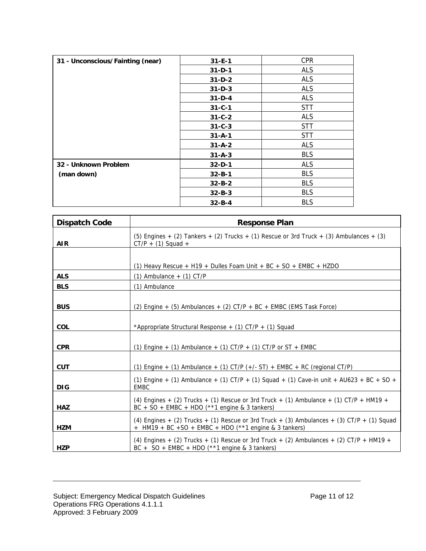| 31 - Unconscious/Fainting (near) | $31 - E - 1$ | <b>CPR</b> |
|----------------------------------|--------------|------------|
|                                  | $31 - D - 1$ | ALS        |
|                                  | $31-D-2$     | <b>ALS</b> |
|                                  | $31 - D - 3$ | <b>ALS</b> |
|                                  | $31-D-4$     | <b>ALS</b> |
|                                  | $31 - C - 1$ | <b>STT</b> |
|                                  | $31 - C - 2$ | <b>ALS</b> |
|                                  | $31 - C - 3$ | <b>STT</b> |
|                                  | $31 - A - 1$ | <b>STT</b> |
|                                  | $31 - A - 2$ | <b>ALS</b> |
|                                  | $31 - A - 3$ | <b>BLS</b> |
| 32 - Unknown Problem             | $32 - D - 1$ | <b>ALS</b> |
| (man down)                       | $32 - B - 1$ | <b>BLS</b> |
|                                  | $32 - B - 2$ | <b>BLS</b> |
|                                  | $32 - B - 3$ | <b>BLS</b> |
|                                  | $32 - B - 4$ | <b>BLS</b> |

| <b>Dispatch Code</b> | <b>Response Plan</b>                                                                                                                                            |
|----------------------|-----------------------------------------------------------------------------------------------------------------------------------------------------------------|
| <b>AIR</b>           | (5) Engines $+$ (2) Tankers $+$ (2) Trucks $+$ (1) Rescue or 3rd Truck $+$ (3) Ambulances $+$ (3)<br>$CT/P + (1)$ Squad +                                       |
|                      |                                                                                                                                                                 |
|                      | (1) Heavy Rescue + H19 + Dulles Foam Unit + BC + SO + EMBC + HZDO                                                                                               |
| <b>ALS</b>           | $(1)$ Ambulance $+$ $(1)$ CT/P                                                                                                                                  |
| <b>BLS</b>           | (1) Ambulance                                                                                                                                                   |
| <b>BUS</b>           | (2) Engine + (5) Ambulances + (2) CT/P + BC + EMBC (EMS Task Force)                                                                                             |
| <b>COL</b>           | *Appropriate Structural Response + (1) CT/P + (1) Squad                                                                                                         |
| <b>CPR</b>           | (1) Engine + (1) Ambulance + (1) $CT/P$ + (1) $CT/P$ or $ST$ + EMBC                                                                                             |
| <b>CUT</b>           | (1) Engine + (1) Ambulance + (1) CT/P $(+/- ST)$ + EMBC + RC (regional CT/P)                                                                                    |
| <b>DIG</b>           | (1) Engine + (1) Ambulance + (1) CT/P + (1) Squad + (1) Cave-in unit + AU623 + BC + SO +<br><b>EMBC</b>                                                         |
| <b>HAZ</b>           | (4) Engines $+$ (2) Trucks $+$ (1) Rescue or 3rd Truck $+$ (1) Ambulance $+$ (1) CT/P $+$ HM19 $+$<br>$BC + SO + EMBC + HDO (**1 engine & 3 tankers)$           |
| <b>HZM</b>           | (4) Engines $+$ (2) Trucks $+$ (1) Rescue or 3rd Truck $+$ (3) Ambulances $+$ (3) CT/P $+$ (1) Squad<br>$+$ HM19 + BC +SO + EMBC + HDO (**1 engine & 3 tankers) |
| <b>HZP</b>           | (4) Engines $+$ (2) Trucks $+$ (1) Rescue or 3rd Truck $+$ (2) Ambulances $+$ (2) CT/P $+$ HM19 $+$<br>$BC + SO + EMBC + HDO (**1 engine & 3 tankers)$          |